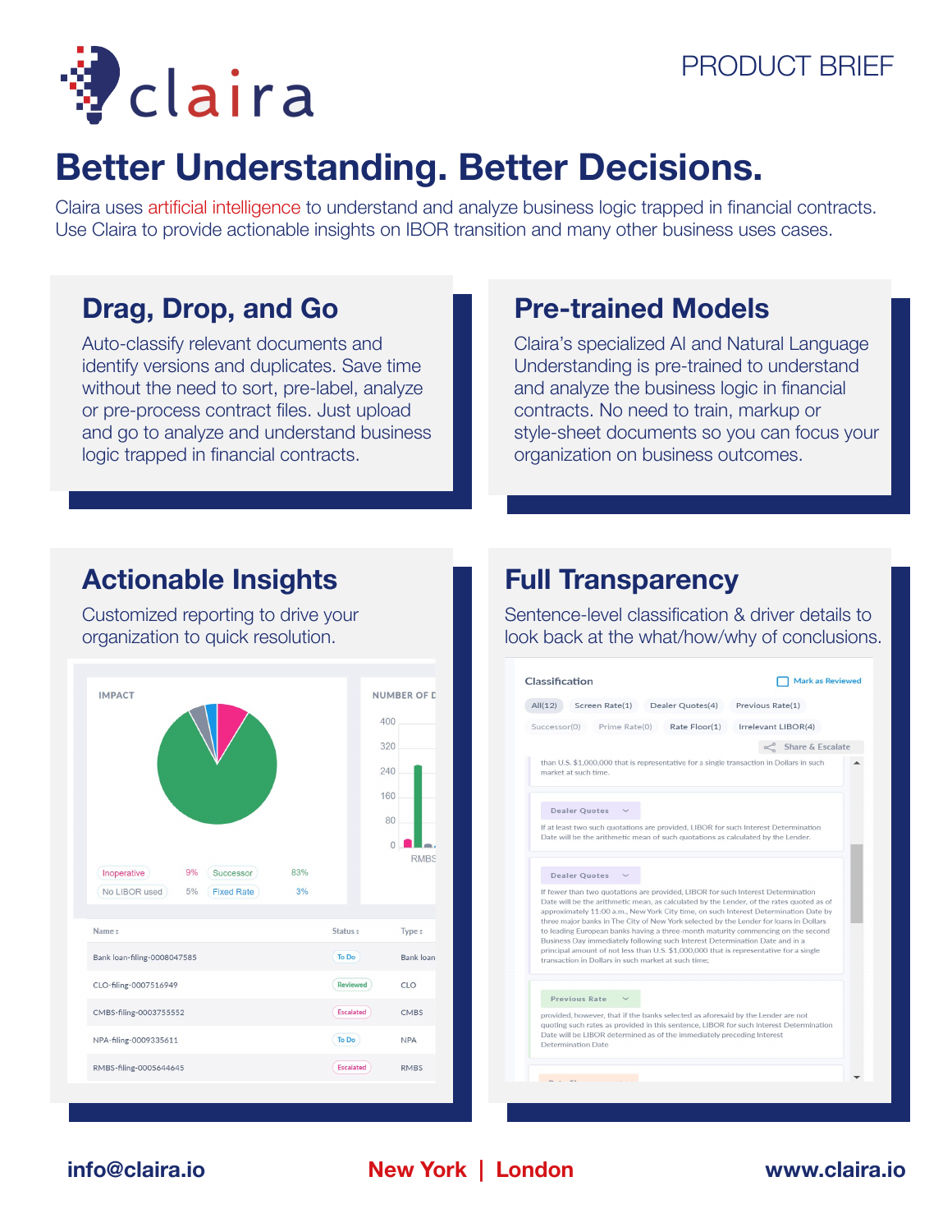



# **Better Understanding. Better Decisions.**

Claira uses artificial intelligence to understand and analyze business logic trapped in financial contracts. Use Claira to provide actionable insights on IBOR transition and many other business uses cases.

# **Drag, Drop, and Go**

Auto-classify relevant documents and identify versions and duplicates. Save time without the need to sort, pre-label, analyze or pre-process contract files. Just upload and go to analyze and understand business logic trapped in financial contracts.

# **Pre-trained Models**

Claira's specialized AI and Natural Language Understanding is pre-trained to understand and analyze the business logic in financial contracts. No need to train, markup or style-sheet documents so you can focus your organization on business outcomes.

## **Actionable Insights**

Customized reporting to drive your organization to quick resolution.



## **Full Transparency**

Sentence-level classification & driver details to look back at the what/how/why of conclusions.

| All(12)<br>Screen Rate(1)<br>Dealer Quotes(4)                                                                                                                                                                                                                                                                                                                                                                                                                                                                                                                                                                                                                                      | Previous Rate(1)    |
|------------------------------------------------------------------------------------------------------------------------------------------------------------------------------------------------------------------------------------------------------------------------------------------------------------------------------------------------------------------------------------------------------------------------------------------------------------------------------------------------------------------------------------------------------------------------------------------------------------------------------------------------------------------------------------|---------------------|
| Prime Rate(0)<br>Rate Floor(1)<br>Successor(0)                                                                                                                                                                                                                                                                                                                                                                                                                                                                                                                                                                                                                                     | Irrelevant LIBOR(4) |
|                                                                                                                                                                                                                                                                                                                                                                                                                                                                                                                                                                                                                                                                                    | Share & Escalate    |
| than U.S. \$1,000,000 that is representative for a single transaction in Dollars in such<br>market at such time.                                                                                                                                                                                                                                                                                                                                                                                                                                                                                                                                                                   |                     |
| <b>Dealer Quotes</b>                                                                                                                                                                                                                                                                                                                                                                                                                                                                                                                                                                                                                                                               |                     |
| If at least two such quotations are provided, LIBOR for such Interest Determination<br>Date will be the arithmetic mean of such quotations as calculated by the Lender.                                                                                                                                                                                                                                                                                                                                                                                                                                                                                                            |                     |
| <b>Dealer Quotes</b>                                                                                                                                                                                                                                                                                                                                                                                                                                                                                                                                                                                                                                                               |                     |
| If fewer than two quotations are provided, LIBOR for such Interest Determination<br>Date will be the arithmetic mean, as calculated by the Lender, of the rates quoted as of<br>approximately 11:00 a.m., New York City time, on such Interest Determination Date by<br>three major banks in The City of New York selected by the Lender for loans in Dollars<br>to leading European banks having a three-month maturity commencing on the second<br>Business Day immediately following such Interest Determination Date and in a<br>principal amount of not less than U.S. \$1,000,000 that is representative for a single<br>transaction in Dollars in such market at such time: |                     |
| Previous Rate                                                                                                                                                                                                                                                                                                                                                                                                                                                                                                                                                                                                                                                                      |                     |
|                                                                                                                                                                                                                                                                                                                                                                                                                                                                                                                                                                                                                                                                                    |                     |

**New York | London [info@claira.io](mailto:info@claira.io) [www.claira.i](http://www.claira.io)o**